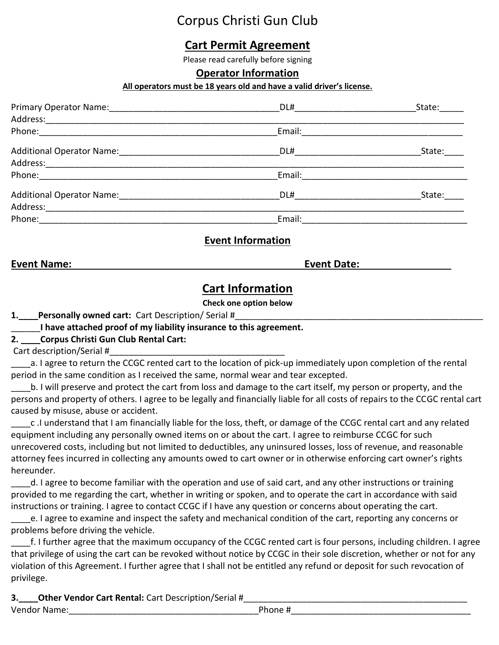# Corpus Christi Gun Club

# **Cart Permit Agreement**

Please read carefully before signing

#### **Operator Information**

#### **All operators must be 18 years old and have a valid driver's license.**

|             | DL# 2000 2000 2000 2010 2010 2010 2011 2012 2013 2014 2015 2016 2017 2018 2019 2017 2017 2018 2019 20 | State: _____ |
|-------------|-------------------------------------------------------------------------------------------------------|--------------|
|             |                                                                                                       |              |
|             | Email:                                                                                                |              |
|             |                                                                                                       | State:       |
|             |                                                                                                       |              |
|             |                                                                                                       |              |
|             | DL#                                                                                                   | State:       |
|             |                                                                                                       |              |
| Phone: 2008 | Email:                                                                                                |              |

### **Event Information**

**Event Name: Event Date:**

## **Cart Information**

#### **Check one option below**

**1.** Personally owned cart: Cart Description/ Serial #

\_\_\_\_\_\_**I have attached proof of my liability insurance to this agreement.**

#### **2. \_\_\_\_Corpus Christi Gun Club Rental Cart:**

Cart description/Serial #

\_\_\_\_a. I agree to return the CCGC rented cart to the location of pick-up immediately upon completion of the rental period in the same condition as I received the same, normal wear and tear excepted.

\_\_\_\_b. I will preserve and protect the cart from loss and damage to the cart itself, my person or property, and the persons and property of others. I agree to be legally and financially liable for all costs of repairs to the CCGC rental cart caused by misuse, abuse or accident.

\_\_\_\_c .I understand that I am financially liable for the loss, theft, or damage of the CCGC rental cart and any related equipment including any personally owned items on or about the cart. I agree to reimburse CCGC for such unrecovered costs, including but not limited to deductibles, any uninsured losses, loss of revenue, and reasonable attorney fees incurred in collecting any amounts owed to cart owner or in otherwise enforcing cart owner's rights hereunder.

\_\_\_\_d. I agree to become familiar with the operation and use of said cart, and any other instructions or training provided to me regarding the cart, whether in writing or spoken, and to operate the cart in accordance with said instructions or training. I agree to contact CCGC if I have any question or concerns about operating the cart.

\_\_\_\_e. I agree to examine and inspect the safety and mechanical condition of the cart, reporting any concerns or problems before driving the vehicle.

\_\_\_\_f. I further agree that the maximum occupancy of the CCGC rented cart is four persons, including children. I agree that privilege of using the cart can be revoked without notice by CCGC in their sole discretion, whether or not for any violation of this Agreement. I further agree that I shall not be entitled any refund or deposit for such revocation of privilege.

**3.** Other Vendor Cart Rental: Cart Description/Serial # Vendor Name: which is a set of the set of the set of the set of the set of the set of the set of the set of th